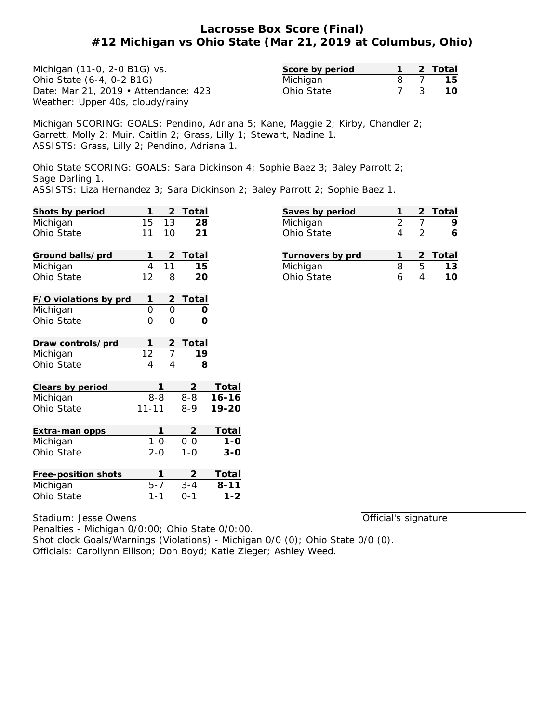## **Lacrosse Box Score (Final) #12 Michigan vs Ohio State (Mar 21, 2019 at Columbus, Ohio)**

| Michigan (11-0, 2-0 B1G) vs.         | Score by period |  | 2 Total |
|--------------------------------------|-----------------|--|---------|
| Ohio State (6-4, 0-2 B1G)            | Michigan        |  | 15      |
| Date: Mar 21, 2019 • Attendance: 423 | Ohio State      |  | 10      |
| Weather: Upper 40s, cloudy/rainy     |                 |  |         |

Michigan SCORING: GOALS: Pendino, Adriana 5; Kane, Maggie 2; Kirby, Chandler 2; Garrett, Molly 2; Muir, Caitlin 2; Grass, Lilly 1; Stewart, Nadine 1. ASSISTS: Grass, Lilly 2; Pendino, Adriana 1.

Ohio State SCORING: GOALS: Sara Dickinson 4; Sophie Baez 3; Baley Parrott 2; Sage Darling 1.

ASSISTS: Liza Hernandez 3; Sara Dickinson 2; Baley Parrott 2; Sophie Baez 1.

| Shots by period       | 1               | $\overline{2}$ | Total           |           |
|-----------------------|-----------------|----------------|-----------------|-----------|
| Michigan              | 15              | 13             | 28              |           |
| Ohio State            | 11              | 10             | 21              |           |
|                       |                 |                |                 |           |
| Ground balls/prd      | 1               | 2              | Total           |           |
| Michigan              | $\overline{4}$  | 11             | 15              |           |
| Ohio State            | 12              | 8              | 20              |           |
|                       |                 |                |                 |           |
| F/O violations by prd | 1               | <u>2</u>       | <b>Total</b>    |           |
| Michigan              | $\overline{O}$  | $\overline{0}$ | O               |           |
| Ohio State            | 0               | $\Omega$       | Ω               |           |
|                       |                 |                |                 |           |
| Draw controls/prd     | 1               | $\frac{2}{7}$  | <b>Total</b>    |           |
| Michigan              | $\overline{12}$ |                | $\overline{19}$ |           |
| Ohio State            | 4               | 4              | 8               |           |
|                       |                 |                |                 |           |
| Clears by period      |                 | 1              | 2               | Total     |
| Michigan              | $8 - 8$         |                | $8 - 8$         | $16 - 16$ |
| Ohio State            | $11 - 11$       |                | $8-9$           | 19-20     |
|                       |                 |                |                 |           |
| Extra-man opps        |                 | 1              | 2               | Total     |
| Michigan              | $1 - 0$         |                | $0 - 0$         | $1 - 0$   |
| Ohio State            | $2 - 0$         |                | $1 - 0$         | $3 - 0$   |
|                       |                 |                |                 |           |
| Free-position shots   |                 | 1              | 2               | Total     |
| Michigan              | $5 - 7$         |                | $3 - 4$         | $8 - 11$  |
| Ohio State            | 1-1             |                | $0 - 1$         | $1 - 2$   |

Stadium: Jesse Owens

Official's signature

**Saves by period 1 2 Total** Michigan 2 7 **9** Ohio State 4 2 **6**

**Turnovers by prd 1 2 Total** Michigan 8 5 **13** Ohio State 6 4 **10**

Penalties - Michigan 0/0:00; Ohio State 0/0:00. Shot clock Goals/Warnings (Violations) - Michigan 0/0 (0); Ohio State 0/0 (0). Officials: Carollynn Ellison; Don Boyd; Katie Zieger; Ashley Weed.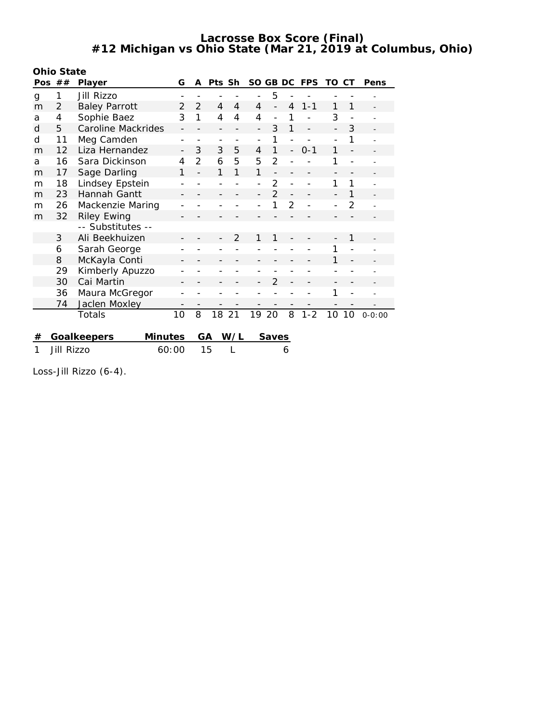**Lacrosse Box Score (Final) #12 Michigan vs Ohio State (Mar 21, 2019 at Columbus, Ohio)**

|     | Ohio State |                               |    |                |                          |     |                          |                          |                          |            |     |                |            |
|-----|------------|-------------------------------|----|----------------|--------------------------|-----|--------------------------|--------------------------|--------------------------|------------|-----|----------------|------------|
| Pos | ##         | Player                        | G  | A              | Pts Sh                   |     |                          | SO GB DC                 |                          | <b>FPS</b> | TO. | СT             | Pens       |
| g   | 1          | Jill Rizzo                    |    |                | $\qquad \qquad -$        |     |                          | 5                        |                          |            |     |                |            |
| m   | 2          | <b>Baley Parrott</b>          | 2  | 2              | 4                        | 4   | $\overline{4}$           | $\overline{\phantom{0}}$ | 4                        | $1 - 1$    | 1   | 1              |            |
| a   | 4          | Sophie Baez                   | 3  | 1              | 4                        | 4   | 4                        | $\overline{a}$           | 1                        |            | 3   |                |            |
| d   | 5          | <b>Caroline Mackrides</b>     |    |                |                          |     |                          | 3                        | 1                        |            |     | 3              |            |
| d   | 11         | Meg Camden                    |    |                | $\overline{\phantom{a}}$ |     | $\overline{\phantom{0}}$ | 1                        |                          |            |     | 1              |            |
| m   | 12         | Liza Hernandez                |    | 3              | 3                        | 5   | $\overline{4}$           | 1                        | $\overline{\phantom{0}}$ | $0 - 1$    | 1   |                |            |
| a   | 16         | Sara Dickinson                | 4  | $\overline{2}$ | 6                        | 5   | 5                        | $\overline{2}$           |                          |            | 1   |                |            |
| m   | 17         | Sage Darling                  | 1  |                | 1                        | 1   | 1                        |                          |                          |            |     |                |            |
| m   | 18         | Lindsey Epstein               |    |                |                          |     |                          | $\overline{2}$           |                          |            | 1   | 1              |            |
| m   | 23         | Hannah Gantt                  |    |                |                          |     |                          | $\overline{2}$           |                          |            |     | 1              |            |
| m   | 26         | Mackenzie Maring              |    |                |                          |     |                          | 1                        | $\overline{2}$           |            |     | $\overline{2}$ |            |
| m   | 32         | <b>Riley Ewing</b>            |    |                |                          |     |                          |                          |                          |            |     |                |            |
|     |            | -- Substitutes --             |    |                |                          |     |                          |                          |                          |            |     |                |            |
|     | 3          | Ali Beekhuizen                |    |                |                          | 2   | 1                        | 1                        |                          |            |     | 1              |            |
|     | 6          | Sarah George                  |    |                |                          |     |                          |                          |                          |            | 1   |                |            |
|     | 8          | McKayla Conti                 |    |                |                          |     |                          |                          |                          |            | 1   |                |            |
|     | 29         | Kimberly Apuzzo               |    |                |                          |     |                          |                          |                          |            |     |                |            |
|     | 30         | Cai Martin                    |    |                |                          |     |                          | $\overline{2}$           |                          |            |     |                |            |
|     | 36         | Maura McGregor                |    |                |                          |     |                          |                          |                          |            | 1   |                |            |
|     | 74         | Jaclen Moxley                 |    |                |                          |     |                          |                          |                          |            |     |                |            |
|     |            | Totals                        | 10 | 8              | 18                       | 21  | 19                       | 20                       | 8                        | $1 - 2$    | 10  | 10             | $0 - 0:00$ |
|     |            |                               |    |                |                          |     |                          |                          |                          |            |     |                |            |
| #   |            | <b>Minutes</b><br>Goalkeepers |    | GA             |                          | W/L |                          | <b>Saves</b>             |                          |            |     |                |            |
| 1   | Jill Rizzo | 60:00                         |    |                | 15                       |     |                          |                          | 6                        |            |     |                |            |

Loss-Jill Rizzo (6-4).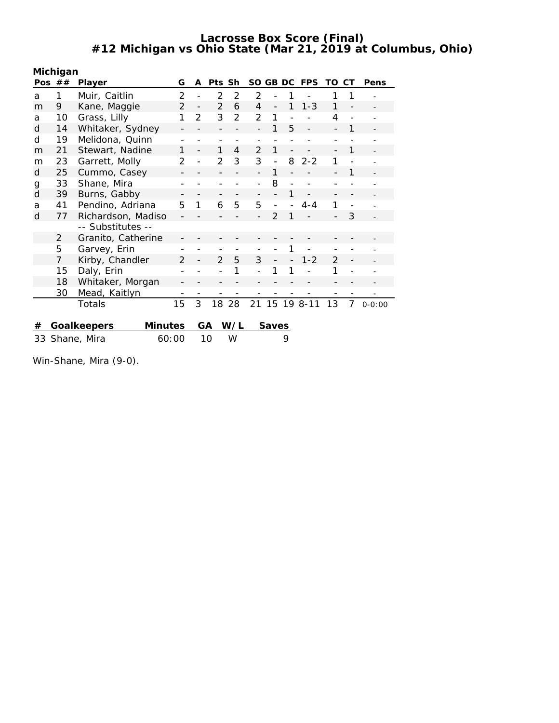**Lacrosse Box Score (Final) #12 Michigan vs Ohio State (Mar 21, 2019 at Columbus, Ohio)**

|    | Michigan       |                               |                |                          |                |     |                |                          |   |              |                |                |            |
|----|----------------|-------------------------------|----------------|--------------------------|----------------|-----|----------------|--------------------------|---|--------------|----------------|----------------|------------|
|    | Pos $##$       | Player                        | G              | A                        | Pts Sh         |     |                |                          |   | SO GB DC FPS | TO.            | СT             | Pens       |
| a  | 1              | Muir, Caitlin                 | 2              |                          | 2              | 2   | 2              |                          |   |              | 1              |                |            |
| m  | 9              | Kane, Maggie                  | $\overline{2}$ | $\overline{\phantom{a}}$ | $\overline{2}$ | 6   | 4              | $\overline{\phantom{0}}$ | 1 | $1 - 3$      | 1              |                |            |
| a  | 10             | Grass, Lilly                  | 1              | $\overline{2}$           | 3              | 2   | 2              | 1                        |   |              | 4              |                |            |
| d  | 14             | Whitaker, Sydney              |                |                          |                |     |                | 1                        | 5 |              |                | 1              |            |
| d  | 19             | Melidona, Quinn               |                |                          |                |     |                |                          |   |              |                |                |            |
| m  | 21             | Stewart, Nadine               | 1              |                          | 1              | 4   | $\mathfrak{D}$ | 1                        |   |              |                | 1              |            |
| m  | 23             | Garrett, Molly                | $\mathcal{P}$  |                          | $\overline{2}$ | 3   | 3              | $\overline{a}$           | 8 | $2 - 2$      | 1              |                |            |
| d  | 25             | Cummo, Casey                  |                |                          |                |     |                | 1                        |   |              |                |                |            |
| g  | 33             | Shane, Mira                   |                |                          |                |     | $\overline{a}$ | 8                        |   |              |                |                |            |
| d  | 39             | Burns, Gabby                  |                |                          |                |     |                |                          |   |              |                |                |            |
| a  | 41             | Pendino, Adriana              | 5              | 1                        | 6              | 5   | 5              | $\overline{\phantom{0}}$ |   | $4 - 4$      | 1              | $\overline{a}$ |            |
| d  | 77             | Richardson, Madiso            |                |                          |                |     |                | $\mathcal{P}$            |   |              |                | 3              |            |
|    |                | -- Substitutes --             |                |                          |                |     |                |                          |   |              |                |                |            |
|    | $\overline{2}$ | Granito, Catherine            |                |                          |                |     |                |                          |   |              |                |                |            |
|    | 5              | Garvey, Erin                  |                |                          |                |     |                |                          |   |              |                |                |            |
|    | $\overline{7}$ | Kirby, Chandler               | $\mathcal{P}$  |                          | $\overline{2}$ | 5   | 3              |                          |   | $1 - 2$      | $\overline{2}$ |                |            |
|    | 15             | Daly, Erin                    |                |                          |                | 1   |                |                          |   |              | 1              |                |            |
|    | 18             | Whitaker, Morgan              |                |                          |                |     |                |                          |   |              |                |                |            |
|    | 30             | Mead, Kaitlyn                 |                |                          |                |     |                |                          |   |              |                |                |            |
|    |                | Totals                        | 15             | 3                        | 18             | 28  | 21             | 15                       |   | 19 8-11      | 13             | 7              | $0 - 0:00$ |
| #  |                | <b>Minutes</b><br>Goalkeepers |                |                          | GA             | W/L |                | Saves                    |   |              |                |                |            |
| 33 |                | 60:00<br>Shane, Mira          |                |                          | 10             | W   |                |                          | 9 |              |                |                |            |
|    |                |                               |                |                          |                |     |                |                          |   |              |                |                |            |

Win-Shane, Mira (9-0).